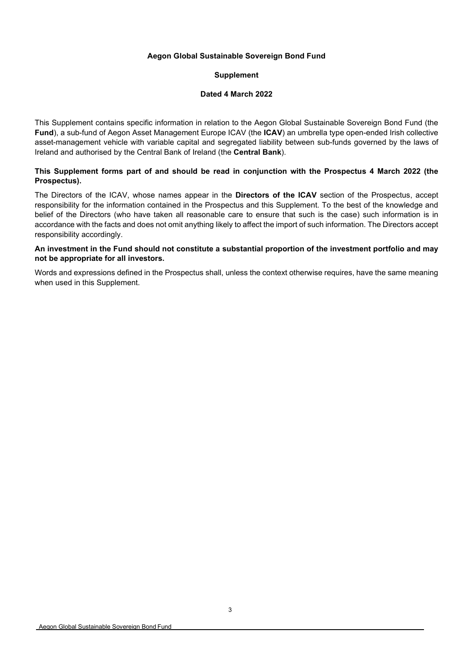# **Aegon Global Sustainable Sovereign Bond Fund**

# **Supplement**

### **Dated 4 March 2022**

This Supplement contains specific information in relation to the Aegon Global Sustainable Sovereign Bond Fund (the **Fund**), a sub-fund of Aegon Asset Management Europe ICAV (the **ICAV**) an umbrella type open-ended Irish collective asset-management vehicle with variable capital and segregated liability between sub-funds governed by the laws of Ireland and authorised by the Central Bank of Ireland (the **Central Bank**).

# **This Supplement forms part of and should be read in conjunction with the Prospectus 4 March 2022 (the Prospectus).**

The Directors of the ICAV, whose names appear in the **Directors of the ICAV** section of the Prospectus, accept responsibility for the information contained in the Prospectus and this Supplement. To the best of the knowledge and belief of the Directors (who have taken all reasonable care to ensure that such is the case) such information is in accordance with the facts and does not omit anything likely to affect the import of such information. The Directors accept responsibility accordingly.

### **An investment in the Fund should not constitute a substantial proportion of the investment portfolio and may not be appropriate for all investors.**

Words and expressions defined in the Prospectus shall, unless the context otherwise requires, have the same meaning when used in this Supplement.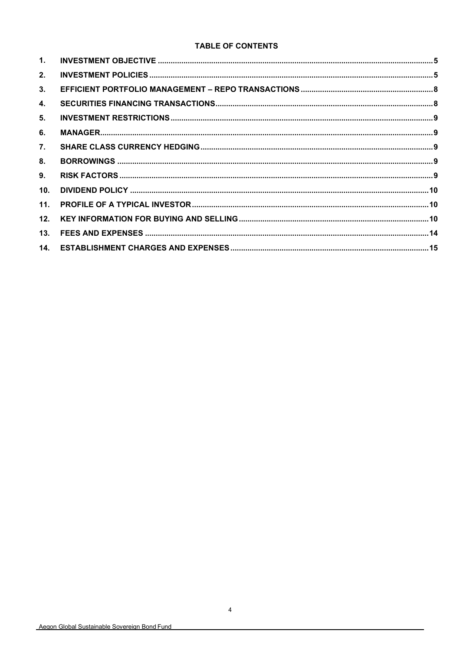# **TABLE OF CONTENTS**

| 1.              |  |
|-----------------|--|
| 2.              |  |
| 3.              |  |
| 4.              |  |
| 5.              |  |
| 6.              |  |
| 7.              |  |
| 8.              |  |
| 9.              |  |
| 10 <sub>1</sub> |  |
| 11.             |  |
| 12.             |  |
| 13.             |  |
|                 |  |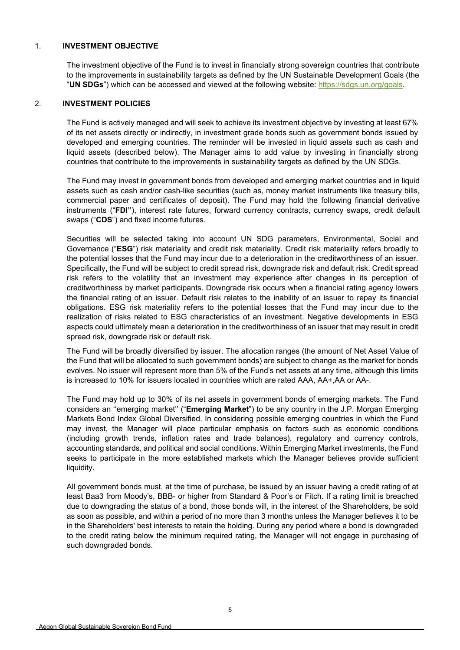### <span id="page-2-0"></span>1. **INVESTMENT OBJECTIVE**

The investment objective of the Fund is to invest in financially strong sovereign countries that contribute to the improvements in sustainability targets as defined by the UN Sustainable Development Goals (the "**UN SDGs**") which can be accessed and viewed at the following website: [https://sdgs.un.org/goals.](https://sdgs.un.org/goals)

### <span id="page-2-1"></span>2. **INVESTMENT POLICIES**

The Fund is actively managed and will seek to achieve its investment objective by investing at least 67% of its net assets directly or indirectly, in investment grade bonds such as government bonds issued by developed and emerging countries. The reminder will be invested in liquid assets such as cash and liquid assets (described below). The Manager aims to add value by investing in financially strong countries that contribute to the improvements in sustainability targets as defined by the UN SDGs.

The Fund may invest in government bonds from developed and emerging market countries and in liquid assets such as cash and/or cash-like securities (such as, money market instruments like treasury bills, commercial paper and certificates of deposit). The Fund may hold the following financial derivative instruments ("**FDI"**), interest rate futures, forward currency contracts, currency swaps, credit default swaps ("**CDS**") and fixed income futures.

Securities will be selected taking into account UN SDG parameters, Environmental, Social and Governance ("**ESG**") risk materiality and credit risk materiality. Credit risk materiality refers broadly to the potential losses that the Fund may incur due to a deterioration in the creditworthiness of an issuer. Specifically, the Fund will be subject to credit spread risk, downgrade risk and default risk. Credit spread risk refers to the volatility that an investment may experience after changes in its perception of creditworthiness by market participants. Downgrade risk occurs when a financial rating agency lowers the financial rating of an issuer. Default risk relates to the inability of an issuer to repay its financial obligations. ESG risk materiality refers to the potential losses that the Fund may incur due to the realization of risks related to ESG characteristics of an investment. Negative developments in ESG aspects could ultimately mean a deterioration in the creditworthiness of an issuer that may result in credit spread risk, downgrade risk or default risk.

The Fund will be broadly diversified by issuer. The allocation ranges (the amount of Net Asset Value of the Fund that will be allocated to such government bonds) are subject to change as the market for bonds evolves. No issuer will represent more than 5% of the Fund's net assets at any time, although this limits is increased to 10% for issuers located in countries which are rated AAA, AA+,AA or AA-.

The Fund may hold up to 30% of its net assets in government bonds of emerging markets. The Fund considers an ''emerging market'' ("**Emerging Market**") to be any country in the J.P. Morgan Emerging Markets Bond Index Global Diversified. In considering possible emerging countries in which the Fund may invest, the Manager will place particular emphasis on factors such as economic conditions (including growth trends, inflation rates and trade balances), regulatory and currency controls, accounting standards, and political and social conditions. Within Emerging Market investments, the Fund seeks to participate in the more established markets which the Manager believes provide sufficient liquidity.

All government bonds must, at the time of purchase, be issued by an issuer having a credit rating of at least Baa3 from Moody's, BBB- or higher from Standard & Poor's or Fitch. If a rating limit is breached due to downgrading the status of a bond, those bonds will, in the interest of the Shareholders, be sold as soon as possible, and within a period of no more than 3 months unless the Manager believes it to be in the Shareholders' best interests to retain the holding. During any period where a bond is downgraded to the credit rating below the minimum required rating, the Manager will not engage in purchasing of such downgraded bonds.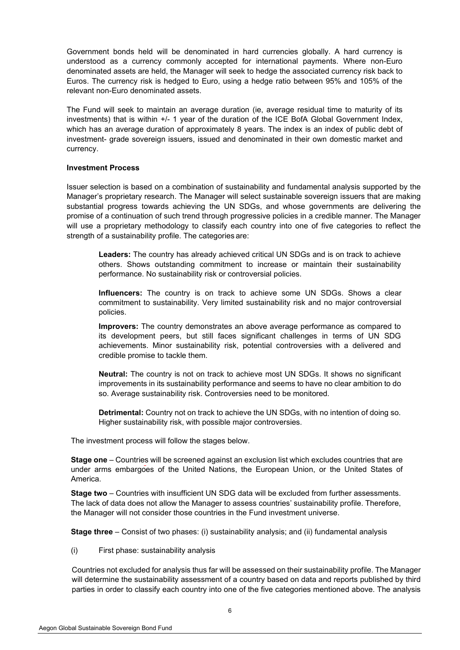Government bonds held will be denominated in hard currencies globally. A hard currency is understood as a currency commonly accepted for international payments. Where non-Euro denominated assets are held, the Manager will seek to hedge the associated currency risk back to Euros. The currency risk is hedged to Euro, using a hedge ratio between 95% and 105% of the relevant non-Euro denominated assets.

The Fund will seek to maintain an average duration (ie, average residual time to maturity of its investments) that is within +/- 1 year of the duration of the ICE BofA Global Government Index, which has an average duration of approximately 8 years. The index is an index of public debt of investment- grade sovereign issuers, issued and denominated in their own domestic market and currency.

### **Investment Process**

Issuer selection is based on a combination of sustainability and fundamental analysis supported by the Manager's proprietary research. The Manager will select sustainable sovereign issuers that are making substantial progress towards achieving the UN SDGs, and whose governments are delivering the promise of a continuation of such trend through progressive policies in a credible manner. The Manager will use a proprietary methodology to classify each country into one of five categories to reflect the strength of a sustainability profile. The categories are:

**Leaders:** The country has already achieved critical UN SDGs and is on track to achieve others. Shows outstanding commitment to increase or maintain their sustainability performance. No sustainability risk or controversial policies.

**Influencers:** The country is on track to achieve some UN SDGs. Shows a clear commitment to sustainability. Very limited sustainability risk and no major controversial policies.

**Improvers:** The country demonstrates an above average performance as compared to its development peers, but still faces significant challenges in terms of UN SDG achievements. Minor sustainability risk, potential controversies with a delivered and credible promise to tackle them.

**Neutral:** The country is not on track to achieve most UN SDGs. It shows no significant improvements in its sustainability performance and seems to have no clear ambition to do so. Average sustainability risk. Controversies need to be monitored.

**Detrimental:** Country not on track to achieve the UN SDGs, with no intention of doing so. Higher sustainability risk, with possible major controversies.

The investment process will follow the stages below.

**Stage one** – Countries will be screened against an exclusion list which excludes countries that are under arms embargoes of the United Nations, the European Union, or the United States of America.

**Stage two** – Countries with insufficient UN SDG data will be excluded from further assessments. The lack of data does not allow the Manager to assess countries' sustainability profile. Therefore, the Manager will not consider those countries in the Fund investment universe.

**Stage three** – Consist of two phases: (i) sustainability analysis; and (ii) fundamental analysis

(i) First phase: sustainability analysis

Countries not excluded for analysis thus far will be assessed on their sustainability profile. The Manager will determine the sustainability assessment of a country based on data and reports published by third parties in order to classify each country into one of the five categories mentioned above. The analysis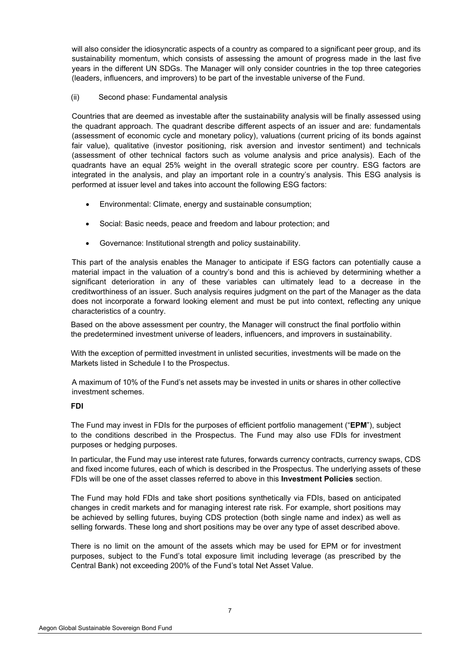will also consider the idiosyncratic aspects of a country as compared to a significant peer group, and its sustainability momentum, which consists of assessing the amount of progress made in the last five years in the different UN SDGs. The Manager will only consider countries in the top three categories (leaders, influencers, and improvers) to be part of the investable universe of the Fund.

### (ii) Second phase: Fundamental analysis

Countries that are deemed as investable after the sustainability analysis will be finally assessed using the quadrant approach. The quadrant describe different aspects of an issuer and are: fundamentals (assessment of economic cycle and monetary policy), valuations (current pricing of its bonds against fair value), qualitative (investor positioning, risk aversion and investor sentiment) and technicals (assessment of other technical factors such as volume analysis and price analysis). Each of the quadrants have an equal 25% weight in the overall strategic score per country. ESG factors are integrated in the analysis, and play an important role in a country's analysis. This ESG analysis is performed at issuer level and takes into account the following ESG factors:

- Environmental: Climate, energy and sustainable consumption;
- Social: Basic needs, peace and freedom and labour protection; and
- Governance: Institutional strength and policy sustainability.

This part of the analysis enables the Manager to anticipate if ESG factors can potentially cause a material impact in the valuation of a country's bond and this is achieved by determining whether a significant deterioration in any of these variables can ultimately lead to a decrease in the creditworthiness of an issuer. Such analysis requires judgment on the part of the Manager as the data does not incorporate a forward looking element and must be put into context, reflecting any unique characteristics of a country.

Based on the above assessment per country, the Manager will construct the final portfolio within the predetermined investment universe of leaders, influencers, and improvers in sustainability.

With the exception of permitted investment in unlisted securities, investments will be made on the Markets listed in Schedule I to the Prospectus.

A maximum of 10% of the Fund's net assets may be invested in units or shares in other collective investment schemes.

# **FDI**

The Fund may invest in FDIs for the purposes of efficient portfolio management ("**EPM**"), subject to the conditions described in the Prospectus. The Fund may also use FDIs for investment purposes or hedging purposes.

In particular, the Fund may use interest rate futures, forwards currency contracts, currency swaps, CDS and fixed income futures, each of which is described in the Prospectus. The underlying assets of these FDIs will be one of the asset classes referred to above in this **Investment Policies** section.

The Fund may hold FDIs and take short positions synthetically via FDIs, based on anticipated changes in credit markets and for managing interest rate risk. For example, short positions may be achieved by selling futures, buying CDS protection (both single name and index) as well as selling forwards. These long and short positions may be over any type of asset described above.

There is no limit on the amount of the assets which may be used for EPM or for investment purposes, subject to the Fund's total exposure limit including leverage (as prescribed by the Central Bank) not exceeding 200% of the Fund's total Net Asset Value.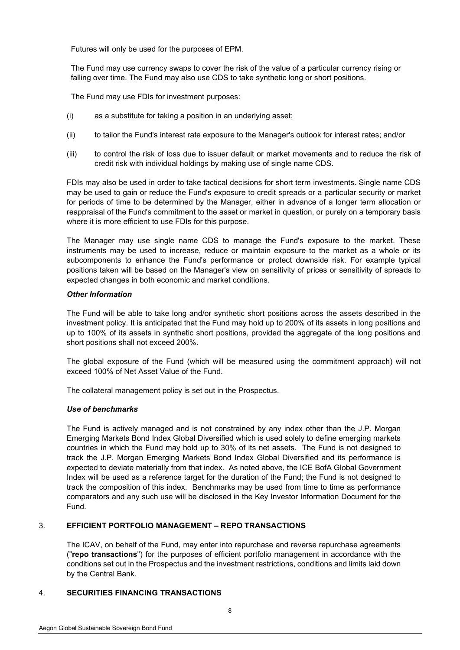Futures will only be used for the purposes of EPM.

The Fund may use currency swaps to cover the risk of the value of a particular currency rising or falling over time. The Fund may also use CDS to take synthetic long or short positions.

The Fund may use FDIs for investment purposes:

- (i) as a substitute for taking a position in an underlying asset;
- (ii) to tailor the Fund's interest rate exposure to the Manager's outlook for interest rates; and/or
- (iii) to control the risk of loss due to issuer default or market movements and to reduce the risk of credit risk with individual holdings by making use of single name CDS.

FDIs may also be used in order to take tactical decisions for short term investments. Single name CDS may be used to gain or reduce the Fund's exposure to credit spreads or a particular security or market for periods of time to be determined by the Manager, either in advance of a longer term allocation or reappraisal of the Fund's commitment to the asset or market in question, or purely on a temporary basis where it is more efficient to use FDIs for this purpose.

The Manager may use single name CDS to manage the Fund's exposure to the market. These instruments may be used to increase, reduce or maintain exposure to the market as a whole or its subcomponents to enhance the Fund's performance or protect downside risk. For example typical positions taken will be based on the Manager's view on sensitivity of prices or sensitivity of spreads to expected changes in both economic and market conditions.

# *Other Information*

The Fund will be able to take long and/or synthetic short positions across the assets described in the investment policy. It is anticipated that the Fund may hold up to 200% of its assets in long positions and up to 100% of its assets in synthetic short positions, provided the aggregate of the long positions and short positions shall not exceed 200%.

The global exposure of the Fund (which will be measured using the commitment approach) will not exceed 100% of Net Asset Value of the Fund.

The collateral management policy is set out in the Prospectus.

# *Use of benchmarks*

The Fund is actively managed and is not constrained by any index other than the J.P. Morgan Emerging Markets Bond Index Global Diversified which is used solely to define emerging markets countries in which the Fund may hold up to 30% of its net assets. The Fund is not designed to track the J.P. Morgan Emerging Markets Bond Index Global Diversified and its performance is expected to deviate materially from that index. As noted above, the ICE BofA Global Government Index will be used as a reference target for the duration of the Fund; the Fund is not designed to track the composition of this index. Benchmarks may be used from time to time as performance comparators and any such use will be disclosed in the Key Investor Information Document for the Fund.

# <span id="page-5-0"></span>3. **EFFICIENT PORTFOLIO MANAGEMENT – REPO TRANSACTIONS**

The ICAV, on behalf of the Fund, may enter into repurchase and reverse repurchase agreements ("**repo transactions**") for the purposes of efficient portfolio management in accordance with the conditions set out in the Prospectus and the investment restrictions, conditions and limits laid down by the Central Bank.

# <span id="page-5-1"></span>4. **SECURITIES FINANCING TRANSACTIONS**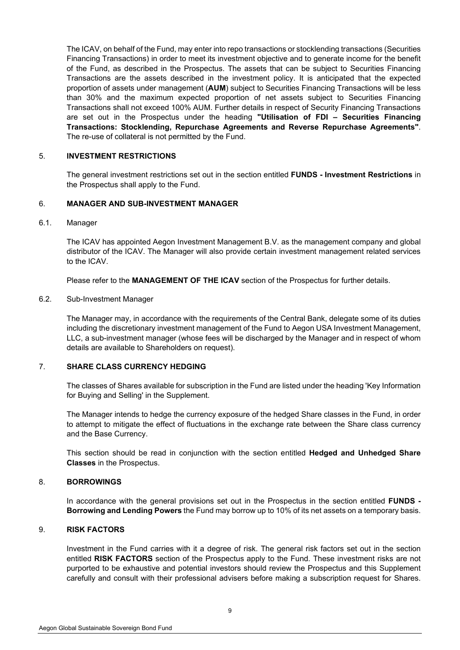The ICAV, on behalf of the Fund, may enter into repo transactions or stocklending transactions (Securities Financing Transactions) in order to meet its investment objective and to generate income for the benefit of the Fund, as described in the Prospectus. The assets that can be subject to Securities Financing Transactions are the assets described in the investment policy. It is anticipated that the expected proportion of assets under management (**AUM**) subject to Securities Financing Transactions will be less than 30% and the maximum expected proportion of net assets subject to Securities Financing Transactions shall not exceed 100% AUM. Further details in respect of Security Financing Transactions are set out in the Prospectus under the heading **"Utilisation of FDI – Securities Financing Transactions: Stocklending, Repurchase Agreements and Reverse Repurchase Agreements"**. The re-use of collateral is not permitted by the Fund.

### <span id="page-6-0"></span>5. **INVESTMENT RESTRICTIONS**

The general investment restrictions set out in the section entitled **FUNDS - Investment Restrictions** in the Prospectus shall apply to the Fund.

### <span id="page-6-1"></span>6. **MANAGER AND SUB-INVESTMENT MANAGER**

#### 6.1. Manager

The ICAV has appointed Aegon Investment Management B.V. as the management company and global distributor of the ICAV. The Manager will also provide certain investment management related services to the ICAV.

Please refer to the **MANAGEMENT OF THE ICAV** section of the Prospectus for further details.

# 6.2. Sub-Investment Manager

The Manager may, in accordance with the requirements of the Central Bank, delegate some of its duties including the discretionary investment management of the Fund to Aegon USA Investment Management, LLC, a sub-investment manager (whose fees will be discharged by the Manager and in respect of whom details are available to Shareholders on request).

# <span id="page-6-2"></span>7. **SHARE CLASS CURRENCY HEDGING**

The classes of Shares available for subscription in the Fund are listed under the heading 'Key Information for Buying and Selling' in the Supplement.

The Manager intends to hedge the currency exposure of the hedged Share classes in the Fund, in order to attempt to mitigate the effect of fluctuations in the exchange rate between the Share class currency and the Base Currency.

This section should be read in conjunction with the section entitled **Hedged and Unhedged Share Classes** in the Prospectus.

#### <span id="page-6-3"></span>8. **BORROWINGS**

In accordance with the general provisions set out in the Prospectus in the section entitled **FUNDS - Borrowing and Lending Powers** the Fund may borrow up to 10% of its net assets on a temporary basis.

# <span id="page-6-4"></span>9. **RISK FACTORS**

Investment in the Fund carries with it a degree of risk. The general risk factors set out in the section entitled **RISK FACTORS** section of the Prospectus apply to the Fund. These investment risks are not purported to be exhaustive and potential investors should review the Prospectus and this Supplement carefully and consult with their professional advisers before making a subscription request for Shares.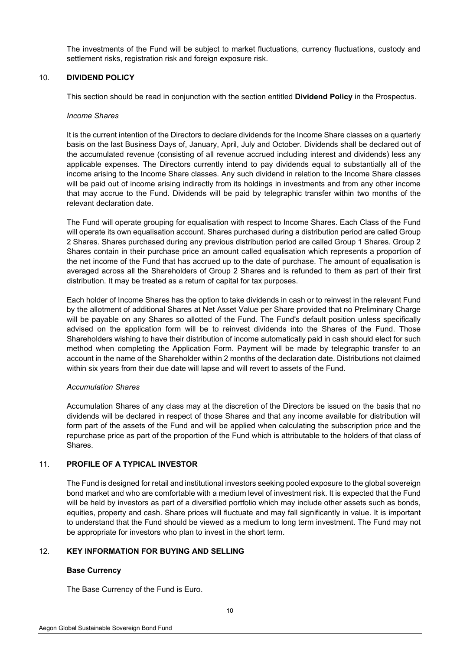The investments of the Fund will be subject to market fluctuations, currency fluctuations, custody and settlement risks, registration risk and foreign exposure risk.

### <span id="page-7-0"></span>10. **DIVIDEND POLICY**

This section should be read in conjunction with the section entitled **Dividend Policy** in the Prospectus.

#### *Income Shares*

It is the current intention of the Directors to declare dividends for the Income Share classes on a quarterly basis on the last Business Days of, January, April, July and October. Dividends shall be declared out of the accumulated revenue (consisting of all revenue accrued including interest and dividends) less any applicable expenses. The Directors currently intend to pay dividends equal to substantially all of the income arising to the Income Share classes. Any such dividend in relation to the Income Share classes will be paid out of income arising indirectly from its holdings in investments and from any other income that may accrue to the Fund. Dividends will be paid by telegraphic transfer within two months of the relevant declaration date.

The Fund will operate grouping for equalisation with respect to Income Shares. Each Class of the Fund will operate its own equalisation account. Shares purchased during a distribution period are called Group 2 Shares. Shares purchased during any previous distribution period are called Group 1 Shares. Group 2 Shares contain in their purchase price an amount called equalisation which represents a proportion of the net income of the Fund that has accrued up to the date of purchase. The amount of equalisation is averaged across all the Shareholders of Group 2 Shares and is refunded to them as part of their first distribution. It may be treated as a return of capital for tax purposes.

Each holder of Income Shares has the option to take dividends in cash or to reinvest in the relevant Fund by the allotment of additional Shares at Net Asset Value per Share provided that no Preliminary Charge will be payable on any Shares so allotted of the Fund. The Fund's default position unless specifically advised on the application form will be to reinvest dividends into the Shares of the Fund. Those Shareholders wishing to have their distribution of income automatically paid in cash should elect for such method when completing the Application Form. Payment will be made by telegraphic transfer to an account in the name of the Shareholder within 2 months of the declaration date. Distributions not claimed within six years from their due date will lapse and will revert to assets of the Fund.

#### *Accumulation Shares*

Accumulation Shares of any class may at the discretion of the Directors be issued on the basis that no dividends will be declared in respect of those Shares and that any income available for distribution will form part of the assets of the Fund and will be applied when calculating the subscription price and the repurchase price as part of the proportion of the Fund which is attributable to the holders of that class of Shares.

# <span id="page-7-1"></span>11. **PROFILE OF A TYPICAL INVESTOR**

The Fund is designed for retail and institutional investors seeking pooled exposure to the global sovereign bond market and who are comfortable with a medium level of investment risk. It is expected that the Fund will be held by investors as part of a diversified portfolio which may include other assets such as bonds, equities, property and cash. Share prices will fluctuate and may fall significantly in value. It is important to understand that the Fund should be viewed as a medium to long term investment. The Fund may not be appropriate for investors who plan to invest in the short term.

# <span id="page-7-2"></span>12. **KEY INFORMATION FOR BUYING AND SELLING**

# **Base Currency**

The Base Currency of the Fund is Euro.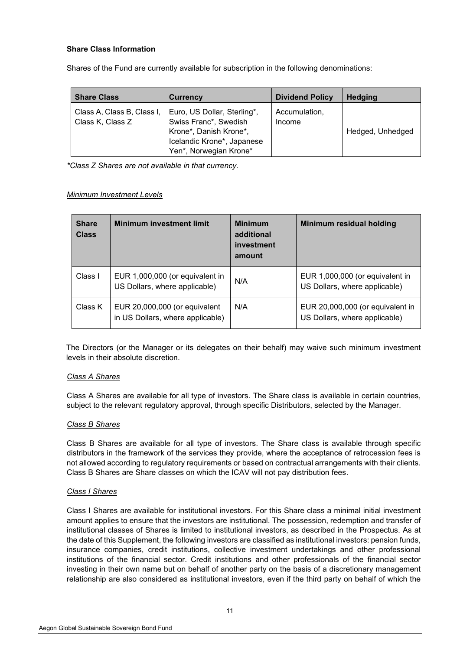# **Share Class Information**

Shares of the Fund are currently available for subscription in the following denominations:

| <b>Share Class</b>                             | Currency                                                                                                                               | <b>Dividend Policy</b>  | <b>Hedging</b>   |
|------------------------------------------------|----------------------------------------------------------------------------------------------------------------------------------------|-------------------------|------------------|
| Class A, Class B, Class I,<br>Class K, Class Z | Euro, US Dollar, Sterling*,<br>Swiss Franc*, Swedish<br>Krone*, Danish Krone*,<br>Icelandic Krone*, Japanese<br>Yen*, Norwegian Krone* | Accumulation,<br>Income | Hedged, Unhedged |

*\*Class Z Shares are not available in that currency.* 

### *Minimum Investment Levels*

| <b>Share</b><br><b>Class</b> | <b>Minimum investment limit</b>                                   | <b>Minimum</b><br>additional<br>investment<br>amount | Minimum residual holding                                          |
|------------------------------|-------------------------------------------------------------------|------------------------------------------------------|-------------------------------------------------------------------|
| Class I                      | EUR 1,000,000 (or equivalent in<br>US Dollars, where applicable)  | N/A                                                  | EUR 1,000,000 (or equivalent in<br>US Dollars, where applicable)  |
| Class K                      | EUR 20,000,000 (or equivalent<br>in US Dollars, where applicable) | N/A                                                  | EUR 20,000,000 (or equivalent in<br>US Dollars, where applicable) |

The Directors (or the Manager or its delegates on their behalf) may waive such minimum investment levels in their absolute discretion.

#### *Class A Shares*

Class A Shares are available for all type of investors. The Share class is available in certain countries, subject to the relevant regulatory approval, through specific Distributors, selected by the Manager.

# *Class B Shares*

Class B Shares are available for all type of investors. The Share class is available through specific distributors in the framework of the services they provide, where the acceptance of retrocession fees is not allowed according to regulatory requirements or based on contractual arrangements with their clients. Class B Shares are Share classes on which the ICAV will not pay distribution fees.

#### *Class I Shares*

Class I Shares are available for institutional investors. For this Share class a minimal initial investment amount applies to ensure that the investors are institutional. The possession, redemption and transfer of institutional classes of Shares is limited to institutional investors, as described in the Prospectus. As at the date of this Supplement, the following investors are classified as institutional investors: pension funds, insurance companies, credit institutions, collective investment undertakings and other professional institutions of the financial sector. Credit institutions and other professionals of the financial sector investing in their own name but on behalf of another party on the basis of a discretionary management relationship are also considered as institutional investors, even if the third party on behalf of which the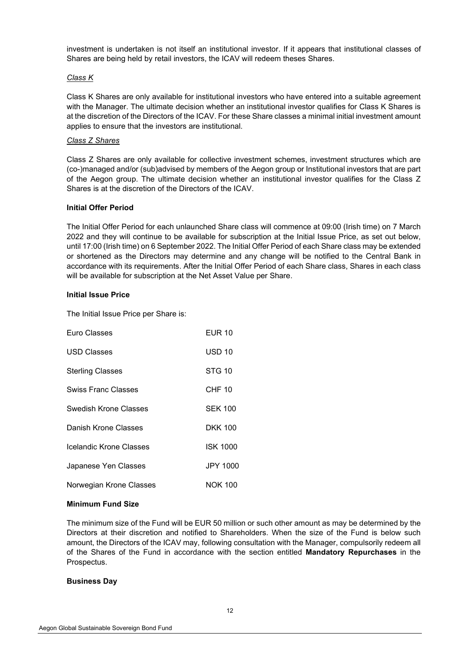investment is undertaken is not itself an institutional investor. If it appears that institutional classes of Shares are being held by retail investors, the ICAV will redeem theses Shares.

# *Class K*

Class K Shares are only available for institutional investors who have entered into a suitable agreement with the Manager. The ultimate decision whether an institutional investor qualifies for Class K Shares is at the discretion of the Directors of the ICAV. For these Share classes a minimal initial investment amount applies to ensure that the investors are institutional.

# *Class Z Shares*

Class Z Shares are only available for collective investment schemes, investment structures which are (co-)managed and/or (sub)advised by members of the Aegon group or Institutional investors that are part of the Aegon group. The ultimate decision whether an institutional investor qualifies for the Class Z Shares is at the discretion of the Directors of the ICAV.

# **Initial Offer Period**

The Initial Offer Period for each unlaunched Share class will commence at 09:00 (Irish time) on 7 March 2022 and they will continue to be available for subscription at the Initial Issue Price, as set out below, until 17:00 (Irish time) on 6 September 2022. The Initial Offer Period of each Share class may be extended or shortened as the Directors may determine and any change will be notified to the Central Bank in accordance with its requirements. After the Initial Offer Period of each Share class, Shares in each class will be available for subscription at the Net Asset Value per Share.

# **Initial Issue Price**

The Initial Issue Price per Share is:

| Euro Classes            | <b>EUR 10</b>   |
|-------------------------|-----------------|
| USD Classes             | <b>USD 10</b>   |
| Sterling Classes        | <b>STG 10</b>   |
| Swiss Franc Classes     | <b>CHF 10</b>   |
| Swedish Krone Classes   | <b>SEK 100</b>  |
| Danish Krone Classes    | <b>DKK 100</b>  |
| Icelandic Krone Classes | <b>ISK 1000</b> |
| Japanese Yen Classes    | <b>JPY 1000</b> |
| Norwegian Krone Classes | <b>NOK 100</b>  |

# **Minimum Fund Size**

The minimum size of the Fund will be EUR 50 million or such other amount as may be determined by the Directors at their discretion and notified to Shareholders. When the size of the Fund is below such amount, the Directors of the ICAV may, following consultation with the Manager, compulsorily redeem all of the Shares of the Fund in accordance with the section entitled **Mandatory Repurchases** in the Prospectus.

# **Business Day**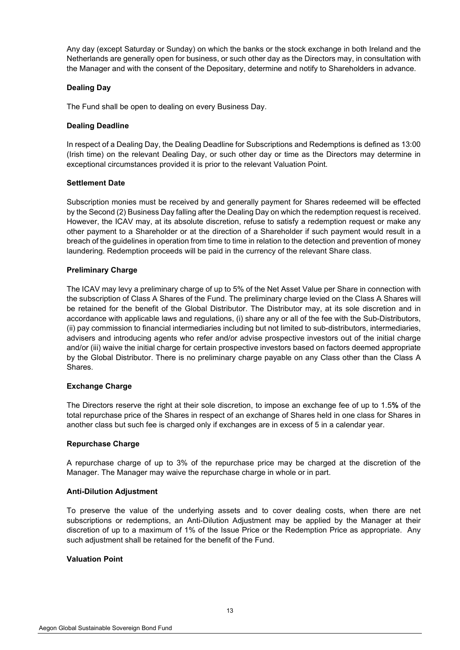Any day (except Saturday or Sunday) on which the banks or the stock exchange in both Ireland and the Netherlands are generally open for business, or such other day as the Directors may, in consultation with the Manager and with the consent of the Depositary, determine and notify to Shareholders in advance.

# **Dealing Day**

The Fund shall be open to dealing on every Business Day.

# **Dealing Deadline**

In respect of a Dealing Day, the Dealing Deadline for Subscriptions and Redemptions is defined as 13:00 (Irish time) on the relevant Dealing Day, or such other day or time as the Directors may determine in exceptional circumstances provided it is prior to the relevant Valuation Point.

# **Settlement Date**

Subscription monies must be received by and generally payment for Shares redeemed will be effected by the Second (2) Business Day falling after the Dealing Day on which the redemption request is received. However, the ICAV may, at its absolute discretion, refuse to satisfy a redemption request or make any other payment to a Shareholder or at the direction of a Shareholder if such payment would result in a breach of the guidelines in operation from time to time in relation to the detection and prevention of money laundering. Redemption proceeds will be paid in the currency of the relevant Share class.

# **Preliminary Charge**

The ICAV may levy a preliminary charge of up to 5% of the Net Asset Value per Share in connection with the subscription of Class A Shares of the Fund. The preliminary charge levied on the Class A Shares will be retained for the benefit of the Global Distributor. The Distributor may, at its sole discretion and in accordance with applicable laws and regulations, (i) share any or all of the fee with the Sub-Distributors, (ii) pay commission to financial intermediaries including but not limited to sub-distributors, intermediaries, advisers and introducing agents who refer and/or advise prospective investors out of the initial charge and/or (iii) waive the initial charge for certain prospective investors based on factors deemed appropriate by the Global Distributor. There is no preliminary charge payable on any Class other than the Class A Shares.

# **Exchange Charge**

The Directors reserve the right at their sole discretion, to impose an exchange fee of up to 1.5**%** of the total repurchase price of the Shares in respect of an exchange of Shares held in one class for Shares in another class but such fee is charged only if exchanges are in excess of 5 in a calendar year.

#### **Repurchase Charge**

A repurchase charge of up to 3% of the repurchase price may be charged at the discretion of the Manager. The Manager may waive the repurchase charge in whole or in part.

#### **Anti-Dilution Adjustment**

To preserve the value of the underlying assets and to cover dealing costs, when there are net subscriptions or redemptions, an Anti-Dilution Adjustment may be applied by the Manager at their discretion of up to a maximum of 1% of the Issue Price or the Redemption Price as appropriate. Any such adjustment shall be retained for the benefit of the Fund.

#### **Valuation Point**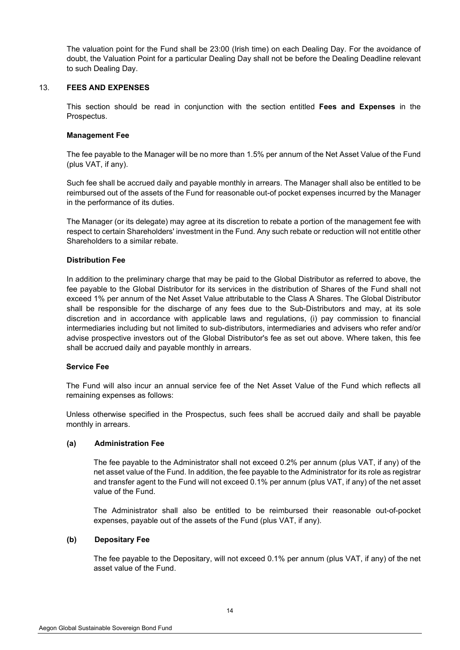The valuation point for the Fund shall be 23:00 (Irish time) on each Dealing Day. For the avoidance of doubt, the Valuation Point for a particular Dealing Day shall not be before the Dealing Deadline relevant to such Dealing Day.

# <span id="page-11-0"></span>13. **FEES AND EXPENSES**

This section should be read in conjunction with the section entitled **Fees and Expenses** in the Prospectus.

### **Management Fee**

The fee payable to the Manager will be no more than 1.5% per annum of the Net Asset Value of the Fund (plus VAT, if any).

Such fee shall be accrued daily and payable monthly in arrears. The Manager shall also be entitled to be reimbursed out of the assets of the Fund for reasonable out-of pocket expenses incurred by the Manager in the performance of its duties.

The Manager (or its delegate) may agree at its discretion to rebate a portion of the management fee with respect to certain Shareholders' investment in the Fund. Any such rebate or reduction will not entitle other Shareholders to a similar rebate.

### **Distribution Fee**

In addition to the preliminary charge that may be paid to the Global Distributor as referred to above, the fee payable to the Global Distributor for its services in the distribution of Shares of the Fund shall not exceed 1% per annum of the Net Asset Value attributable to the Class A Shares. The Global Distributor shall be responsible for the discharge of any fees due to the Sub-Distributors and may, at its sole discretion and in accordance with applicable laws and regulations, (i) pay commission to financial intermediaries including but not limited to sub-distributors, intermediaries and advisers who refer and/or advise prospective investors out of the Global Distributor's fee as set out above. Where taken, this fee shall be accrued daily and payable monthly in arrears.

#### **Service Fee**

The Fund will also incur an annual service fee of the Net Asset Value of the Fund which reflects all remaining expenses as follows:

Unless otherwise specified in the Prospectus, such fees shall be accrued daily and shall be payable monthly in arrears.

#### **(a) Administration Fee**

The fee payable to the Administrator shall not exceed 0.2% per annum (plus VAT, if any) of the net asset value of the Fund. In addition, the fee payable to the Administrator for its role as registrar and transfer agent to the Fund will not exceed 0.1% per annum (plus VAT, if any) of the net asset value of the Fund.

The Administrator shall also be entitled to be reimbursed their reasonable out-of-pocket expenses, payable out of the assets of the Fund (plus VAT, if any).

# **(b) Depositary Fee**

The fee payable to the Depositary, will not exceed 0.1% per annum (plus VAT, if any) of the net asset value of the Fund.